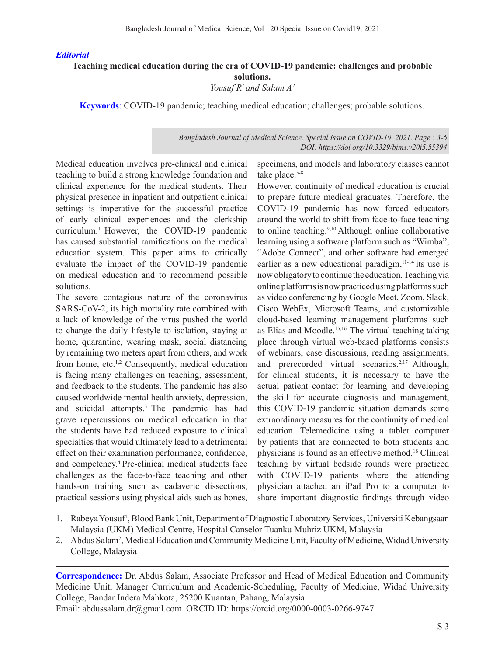## *Editorial*

## **Teaching medical education during the era of COVID-19 pandemic: challenges and probable solutions.**

*Yousuf R1 and Salam A2* 

**Keywords**: COVID-19 pandemic; teaching medical education; challenges; probable solutions.

# *Bangladesh Journal of Medical Science, Special Issue on COVID-19. 2021. Page : 3-6 DOI: https://doi.org/10.3329/bjms.v20i5.55394*

Medical education involves pre-clinical and clinical teaching to build a strong knowledge foundation and clinical experience for the medical students. Their physical presence in inpatient and outpatient clinical settings is imperative for the successful practice of early clinical experiences and the clerkship curriculum.<sup>1</sup> However, the COVID-19 pandemic has caused substantial ramifications on the medical education system. This paper aims to critically evaluate the impact of the COVID-19 pandemic on medical education and to recommend possible solutions.

The severe contagious nature of the coronavirus SARS-CoV-2, its high mortality rate combined with a lack of knowledge of the virus pushed the world to change the daily lifestyle to isolation, staying at home, quarantine, wearing mask, social distancing by remaining two meters apart from others, and work from home, etc.<sup>1,2</sup> Consequently, medical education is facing many challenges on teaching, assessment, and feedback to the students. The pandemic has also caused worldwide mental health anxiety, depression, and suicidal attempts.3 The pandemic has had grave repercussions on medical education in that the students have had reduced exposure to clinical specialties that would ultimately lead to a detrimental effect on their examination performance, confidence, and competency.<sup>4</sup> Pre-clinical medical students face challenges as the face-to-face teaching and other hands-on training such as cadaveric dissections, practical sessions using physical aids such as bones,

specimens, and models and laboratory classes cannot take place. $5-8$ 

However, continuity of medical education is crucial to prepare future medical graduates. Therefore, the COVID-19 pandemic has now forced educators around the world to shift from face-to-face teaching to online teaching.<sup>9,10</sup> Although online collaborative learning using a software platform such as "Wimba", "Adobe Connect", and other software had emerged earlier as a new educational paradigm,<sup>11-14</sup> its use is now obligatory to continue the education. Teaching via online platforms is now practiced using platforms such as video conferencing by Google Meet, Zoom, Slack, Cisco WebEx, Microsoft Teams, and customizable cloud-based learning management platforms such as Elias and Moodle.15,16 The virtual teaching taking place through virtual web-based platforms consists of webinars, case discussions, reading assignments, and prerecorded virtual scenarios.2,17 Although, for clinical students, it is necessary to have the actual patient contact for learning and developing the skill for accurate diagnosis and management, this COVID-19 pandemic situation demands some extraordinary measures for the continuity of medical education. Telemedicine using a tablet computer by patients that are connected to both students and physicians is found as an effective method.18 Clinical teaching by virtual bedside rounds were practiced with COVID-19 patients where the attending physician attached an iPad Pro to a computer to share important diagnostic findings through video

- 1. Rabeya Yousuf<sup>1</sup>, Blood Bank Unit, Department of Diagnostic Laboratory Services, Universiti Kebangsaan Malaysia (UKM) Medical Centre, Hospital Canselor Tuanku Muhriz UKM, Malaysia
- 2. Abdus Salam<sup>2</sup>, Medical Education and Community Medicine Unit, Faculty of Medicine, Widad University College, Malaysia

**Correspondence:** Dr. Abdus Salam, Associate Professor and Head of Medical Education and Community Medicine Unit, Manager Curriculum and Academic-Scheduling, Faculty of Medicine, Widad University College, Bandar Indera Mahkota, 25200 Kuantan, Pahang, Malaysia.

Email: abdussalam.dr@gmail.com ORCID ID: https://orcid.org/0000-0003-0266-9747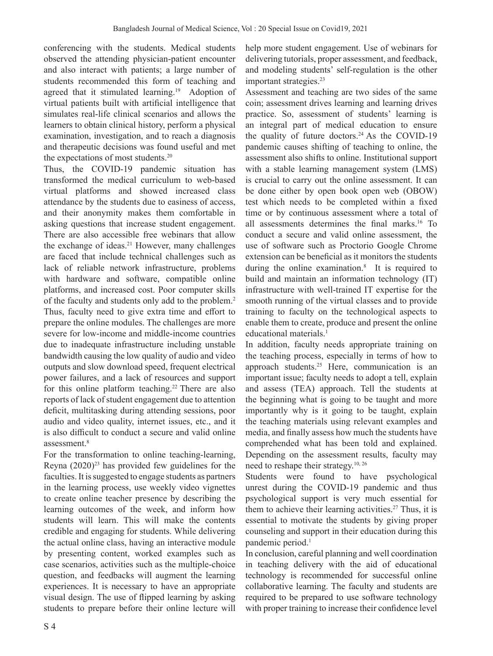conferencing with the students. Medical students observed the attending physician-patient encounter and also interact with patients; a large number of students recommended this form of teaching and agreed that it stimulated learning.<sup>19</sup> Adoption of virtual patients built with artificial intelligence that simulates real-life clinical scenarios and allows the learners to obtain clinical history, perform a physical examination, investigation, and to reach a diagnosis and therapeutic decisions was found useful and met the expectations of most students.20

Thus, the COVID-19 pandemic situation has transformed the medical curriculum to web-based virtual platforms and showed increased class attendance by the students due to easiness of access, and their anonymity makes them comfortable in asking questions that increase student engagement. There are also accessible free webinars that allow the exchange of ideas.<sup>21</sup> However, many challenges are faced that include technical challenges such as lack of reliable network infrastructure, problems with hardware and software, compatible online platforms, and increased cost. Poor computer skills of the faculty and students only add to the problem.2 Thus, faculty need to give extra time and effort to prepare the online modules. The challenges are more severe for low-income and middle-income countries due to inadequate infrastructure including unstable bandwidth causing the low quality of audio and video outputs and slow download speed, frequent electrical power failures, and a lack of resources and support for this online platform teaching.<sup>22</sup> There are also reports of lack of student engagement due to attention deficit, multitasking during attending sessions, poor audio and video quality, internet issues, etc., and it is also difficult to conduct a secure and valid online assessment.8

For the transformation to online teaching-learning, Reyna  $(2020)^{23}$  has provided few guidelines for the faculties. It is suggested to engage students as partners in the learning process, use weekly video vignettes to create online teacher presence by describing the learning outcomes of the week, and inform how students will learn. This will make the contents credible and engaging for students. While delivering the actual online class, having an interactive module by presenting content, worked examples such as case scenarios, activities such as the multiple-choice question, and feedbacks will augment the learning experiences. It is necessary to have an appropriate visual design. The use of flipped learning by asking students to prepare before their online lecture will help more student engagement. Use of webinars for delivering tutorials, proper assessment, and feedback, and modeling students' self-regulation is the other important strategies.<sup>23</sup>

Assessment and teaching are two sides of the same coin; assessment drives learning and learning drives practice. So, assessment of students' learning is an integral part of medical education to ensure the quality of future doctors. $24$  As the COVID-19 pandemic causes shifting of teaching to online, the assessment also shifts to online. Institutional support with a stable learning management system (LMS) is crucial to carry out the online assessment. It can be done either by open book open web (OBOW) test which needs to be completed within a fixed time or by continuous assessment where a total of all assessments determines the final marks.16 To conduct a secure and valid online assessment, the use of software such as Proctorio Google Chrome extension can be beneficial as it monitors the students during the online examination.<sup>8</sup> It is required to build and maintain an information technology (IT) infrastructure with well-trained IT expertise for the smooth running of the virtual classes and to provide training to faculty on the technological aspects to enable them to create, produce and present the online educational materials.<sup>1</sup>

In addition, faculty needs appropriate training on the teaching process, especially in terms of how to approach students.25 Here, communication is an important issue; faculty needs to adopt a tell, explain and assess (TEA) approach. Tell the students at the beginning what is going to be taught and more importantly why is it going to be taught, explain the teaching materials using relevant examples and media, and finally assess how much the students have comprehended what has been told and explained. Depending on the assessment results, faculty may need to reshape their strategy.10, 26

Students were found to have psychological unrest during the COVID-19 pandemic and thus psychological support is very much essential for them to achieve their learning activities.<sup>27</sup> Thus, it is essential to motivate the students by giving proper counseling and support in their education during this pandemic period.<sup>1</sup>

In conclusion, careful planning and well coordination in teaching delivery with the aid of educational technology is recommended for successful online collaborative learning. The faculty and students are required to be prepared to use software technology with proper training to increase their confidence level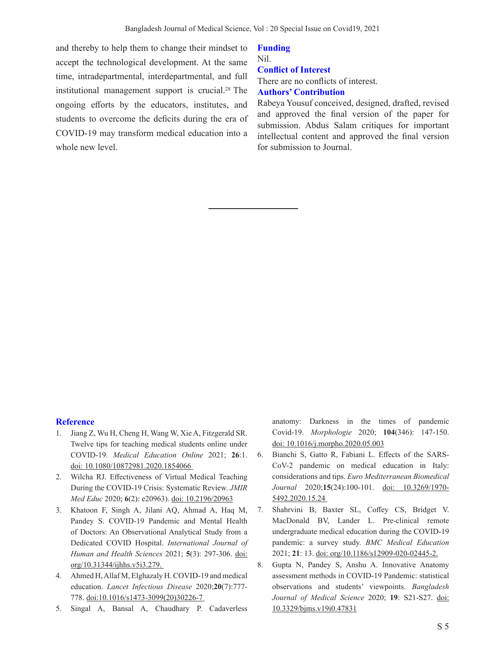and thereby to help them to change their mindset to accept the technological development. At the same time, intradepartmental, interdepartmental, and full institutional management support is crucial.<sup>28</sup> The ongoing efforts by the educators, institutes, and students to overcome the deficits during the era of COVID-19 may transform medical education into a whole new level.

#### **Funding**

Nil. **Conflict of Interest** There are no conflicts of interest.

# **Authors' Contribution**

Rabeya Yousuf conceived, designed, drafted, revised and approved the final version of the paper for submission. Abdus Salam critiques for important intellectual content and approved the final version for submission to Journal.

## **Reference**

- 1. Jiang Z, Wu H, Cheng H, Wang W, Xie A, Fitzgerald SR. Twelve tips for teaching medical students online under COVID-19. *Medical Education Online* 2021; **26**:1. doi: 10.1080/10872981.2020.1854066
- 2. Wilcha RJ. Effectiveness of Virtual Medical Teaching During the COVID-19 Crisis: Systematic Review. *JMIR Med Educ* 2020; **6**(2): e20963). doi: 10.2196/20963
- 3. Khatoon F, Singh A, Jilani AQ, Ahmad A, Haq M, Pandey S. COVID-19 Pandemic and Mental Health of Doctors: An Observational Analytical Study from a Dedicated COVID Hospital. *International Journal of Human and Health Sciences* 2021; **5**(3): 297-306. doi: org/10.31344/ijhhs.v5i3.279.
- 4. Ahmed H, Allaf M, Elghazaly H. COVID-19 and medical education. *Lancet Infectious Disease* 2020;**20**(7):777- 778. doi:10.1016/s1473-3099(20)30226-7
- 5. Singal A, Bansal A, Chaudhary P. Cadaverless

anatomy: Darkness in the times of pandemic Covid-19. *Morphologie* 2020; **104**(346): 147-150. doi: 10.1016/j.morpho.2020.05.003

- 6. Bianchi S, Gatto R, Fabiani L. Effects of the SARS-CoV-2 pandemic on medical education in Italy: considerations and tips. *Euro Mediterranean Biomedical Journal* 2020;**15**(24):100-101. doi: 10.3269/1970- 5492.2020.15.24
- 7. Shahrvini B, Baxter SL, Coffey CS, Bridget V. MacDonald BV, Lander L. Pre-clinical remote undergraduate medical education during the COVID-19 pandemic: a survey study. *BMC Medical Education* 2021; **21**: 13. doi: org/10.1186/s12909-020-02445-2.
- 8. Gupta N, Pandey S, Anshu A. Innovative Anatomy assessment methods in COVID-19 Pandemic: statistical observations and students' viewpoints. *Bangladesh Journal of Medical Science* 2020; **19**: S21-S27. doi: 10.3329/bjms.v19i0.47831